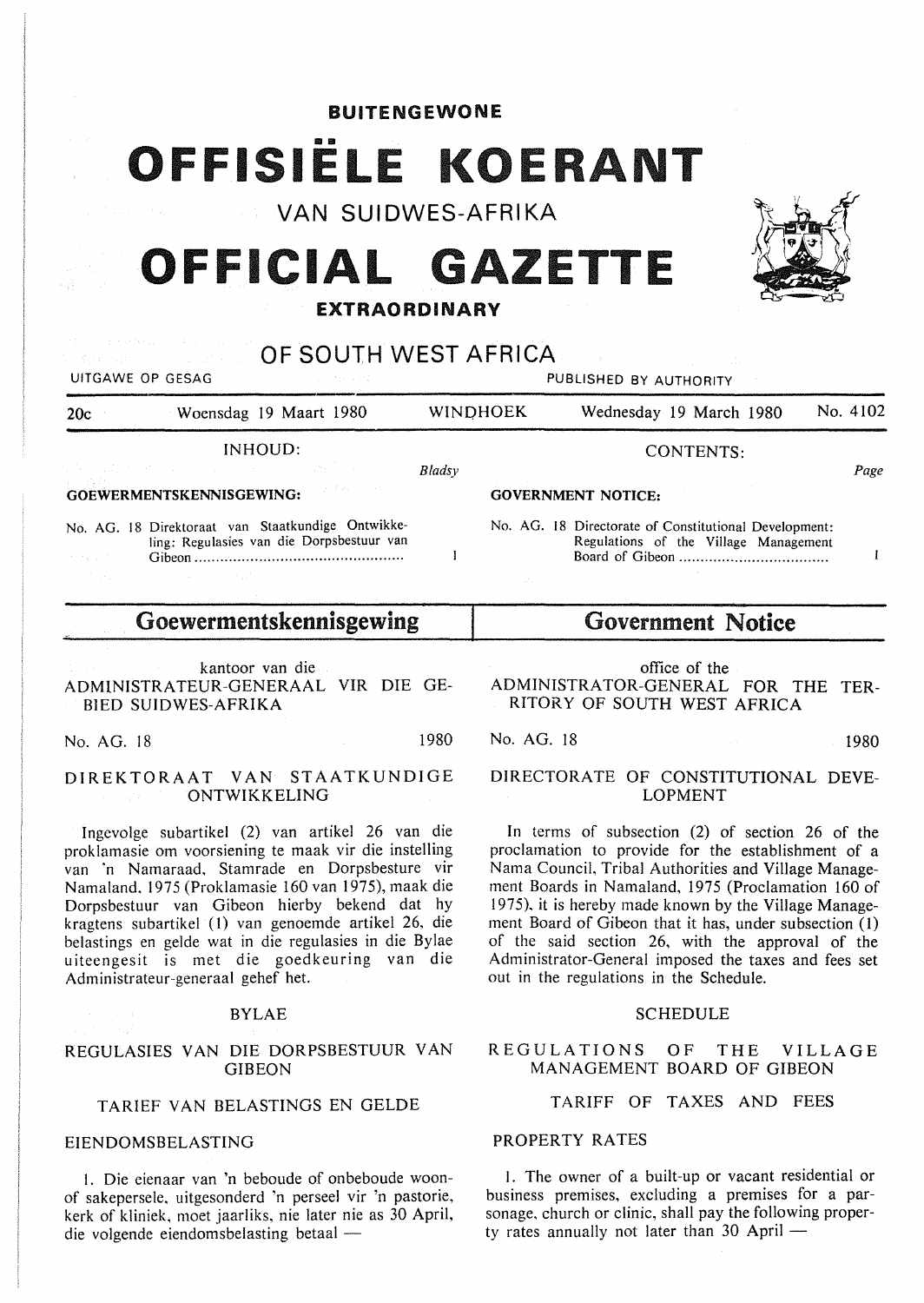| <b>BUITENGEWONE</b> |  |  |  |  |  |  |  |  |  |  |  |  |  |
|---------------------|--|--|--|--|--|--|--|--|--|--|--|--|--|
|---------------------|--|--|--|--|--|--|--|--|--|--|--|--|--|

# OFFISIËLE KOERANT

VAN SUIDWES-AFRIKA

# **OFFICIAL GAZETTE**

## **EXTRAORDINARY**

|                        | of the component of the control of the components<br><b>CONTROLL TO A SOUTH WEST AFRICA</b><br>UITGAWE OP GESAG<br>Sun Mark 2010 |                           |          | PUBLISHED BY AUTHORITY                                                                                                                            |          |  |  |
|------------------------|----------------------------------------------------------------------------------------------------------------------------------|---------------------------|----------|---------------------------------------------------------------------------------------------------------------------------------------------------|----------|--|--|
| 20c                    | Woensdag 19 Maart 1980                                                                                                           |                           | WINDHOEK | Wednesday 19 March 1980                                                                                                                           | No. 4102 |  |  |
|                        | INHOUD:<br>일은 아니, 그는 어떻게 되는 것이 없는 것이 없는 것이 없는 것이 없었다.                                                                            | Bladsy                    |          | <b>CONTENTS:</b>                                                                                                                                  | Page     |  |  |
|                        | GOEWERMENTSKENNISGEWING:                                                                                                         | <b>GOVERNMENT NOTICE:</b> |          |                                                                                                                                                   |          |  |  |
| and the company of the | No. AG. 18 Direktoraat van Staatkundige Ontwikke-<br>ling: Regulasies van die Dorpsbestuur van<br>Gihen                          |                           |          | No. AG. 18 Directorate of Constitutional Development:<br>Regulations of the Village Management<br>Board of Gibeon <b>Solution Board</b> of Gibeon |          |  |  |

# Goewermentskennisgewing

Gibeon ............................................... ..

kantoor van die ADMlNISTRATEUR-GENERAAL VIR DIE GE-BIED SUIDWES-AFRIKA

No. AG. 18 1980

## **DIREKTORAAT VAN STAATKUNDIGE ONTWIKKELING**

lngcvolge subartikel (2) van artikel 26 van die proklamasie om voorsiening te maak vir die instelling van ·n Namaraad. Stamrade en Dorpsbesture vir Namaland. 1975 (Proklamasie 160 van 1975), maak die Dorpsbestuur *van* Gibeon hierby bekend dat hy kragtens subartikel (1) van genoemde artikel 26. die belastings en gelde wat in die regulasies in die Bylae uitcengesit is met die goedkeuring van die Administrateur-generaal gehef het.

## BYLAE

## REGULASIES VAN DIE DORPSBESTUUR VAN GIBEON

## TARIEF VAN BELASTINGS EN GELDE

## EIENDOMSBELASTING

I. Die eienaar van 'n beboude of onbeboude woonof sakepersele. uitgesonderd 'n perseel vir 'n pastorie, kerk of kliniek, moet jaarliks, nie later nie as 30 April, die volgende eiendomsbelasting betaal -

# Government Notice

Board of Gibeon .................................. .

office of the ADMINISTRATOR-GENERAL FOR THE TER-RITORY OF SOUTH WEST AFRICA

No. AG. 18 1980

## DIRECTORATE OF CONSTITUTIONAL DEVE-LOPMENT

In terms of subsection (2) of section 26 of the proclamation to provide for the establishment of a Nama Council, Tribal Authorities and Village Management Boards in Namaland, 1975 (Proclamation 160 of 1975). it is hereby made known by the Village Management Board of Gibeon that it has, under subsection (1) of the said section 26, with the approval of the Administrator-General imposed the taxes and fees set out in the regulations in the Schedule.

## **SCHEDULE**

## REGULATIONS OF THE VILLAGE MANAGEMENT BOARD OF GIBEON

# TARIFF OF TAXES AND FEES

## PROPERTY RATES

I. The owner of a built-up or vacant residential or business premises, excluding a premises for a parsonage, church or clinic, shall pay the following property rates annually not later than  $30$  April  $-$